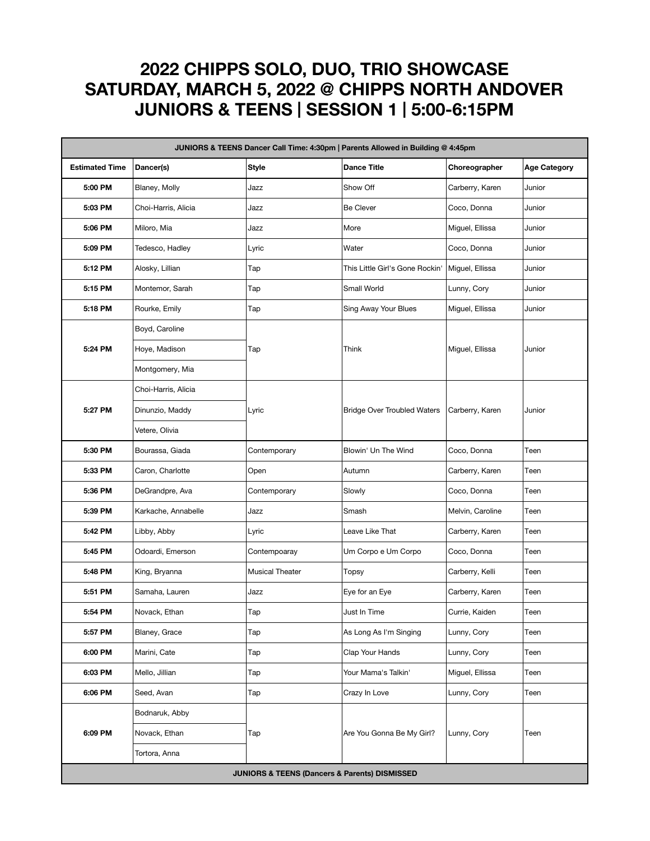## **2022 CHIPPS SOLO, DUO, TRIO SHOWCASE SATURDAY, MARCH 5, 2022 @ CHIPPS NORTH ANDOVER JUNIORS & TEENS | SESSION 1 | 5:00-6:15PM**

| JUNIORS & TEENS Dancer Call Time: 4:30pm   Parents Allowed in Building @ 4:45pm |                     |                        |                                    |                  |                     |  |  |  |  |
|---------------------------------------------------------------------------------|---------------------|------------------------|------------------------------------|------------------|---------------------|--|--|--|--|
| <b>Estimated Time</b>                                                           | Dancer(s)           | Style                  | <b>Dance Title</b>                 | Choreographer    | <b>Age Category</b> |  |  |  |  |
| 5:00 PM                                                                         | Blaney, Molly       | Jazz                   | Show Off                           | Carberry, Karen  | Junior              |  |  |  |  |
| 5:03 PM                                                                         | Choi-Harris, Alicia | Jazz                   | <b>Be Clever</b>                   | Coco, Donna      | Junior              |  |  |  |  |
| 5:06 PM                                                                         | Miloro, Mia         | Jazz                   | More                               | Miguel, Ellissa  | Junior              |  |  |  |  |
| 5:09 PM                                                                         | Tedesco, Hadley     | Lyric                  | Water                              | Coco, Donna      | Junior              |  |  |  |  |
| 5:12 PM                                                                         | Alosky, Lillian     | Тар                    | This Little Girl's Gone Rockin'    | Miguel, Ellissa  | Junior              |  |  |  |  |
| 5:15 PM                                                                         | Montemor, Sarah     | Tap                    | Small World                        | Lunny, Cory      | Junior              |  |  |  |  |
| 5:18 PM                                                                         | Rourke, Emily       | Tap                    | Sing Away Your Blues               | Miguel, Ellissa  | Junior              |  |  |  |  |
| 5:24 PM                                                                         | Boyd, Caroline      | Tap                    | Think                              | Miguel, Ellissa  | Junior              |  |  |  |  |
|                                                                                 | Hoye, Madison       |                        |                                    |                  |                     |  |  |  |  |
|                                                                                 | Montgomery, Mia     |                        |                                    |                  |                     |  |  |  |  |
| 5:27 PM                                                                         | Choi-Harris, Alicia | Lyric                  | <b>Bridge Over Troubled Waters</b> | Carberry, Karen  | Junior              |  |  |  |  |
|                                                                                 | Dinunzio, Maddy     |                        |                                    |                  |                     |  |  |  |  |
|                                                                                 | Vetere, Olivia      |                        |                                    |                  |                     |  |  |  |  |
| 5:30 PM                                                                         | Bourassa, Giada     | Contemporary           | Blowin' Un The Wind                | Coco, Donna      | Teen                |  |  |  |  |
| 5:33 PM                                                                         | Caron, Charlotte    | Open                   | Autumn                             | Carberry, Karen  | Teen                |  |  |  |  |
| 5:36 PM                                                                         | DeGrandpre, Ava     | Contemporary           | Slowly                             | Coco, Donna      | Teen                |  |  |  |  |
| 5:39 PM                                                                         | Karkache, Annabelle | Jazz                   | Smash                              | Melvin, Caroline | Teen                |  |  |  |  |
| 5:42 PM                                                                         | Libby, Abby         | Lyric                  | Leave Like That                    | Carberry, Karen  | Teen                |  |  |  |  |
| 5:45 PM                                                                         | Odoardi, Emerson    | Contempoaray           | Um Corpo e Um Corpo                | Coco, Donna      | Teen                |  |  |  |  |
| 5:48 PM                                                                         | King, Bryanna       | <b>Musical Theater</b> | Topsy                              | Carberry, Kelli  | Teen                |  |  |  |  |
| 5:51 PM                                                                         | Samaha, Lauren      | Jazz                   | Eye for an Eye                     | Carberry, Karen  | Teen                |  |  |  |  |
| 5:54 PM                                                                         | Novack, Ethan       | Tap                    | Just In Time                       | Currie, Kaiden   | Teen                |  |  |  |  |
| 5:57 PM                                                                         | Blaney, Grace       | Tap                    | As Long As I'm Singing             | Lunny, Cory      | Teen                |  |  |  |  |
| 6:00 PM                                                                         | Marini, Cate        | Tap                    | Clap Your Hands                    | Lunny, Cory      | Teen                |  |  |  |  |
| 6:03 PM                                                                         | Mello, Jillian      | Tap                    | Your Mama's Talkin'                | Miguel, Ellissa  | Teen                |  |  |  |  |
| 6:06 PM                                                                         | Seed, Avan          | Tap                    | Crazy In Love                      | Lunny, Cory      | Teen                |  |  |  |  |
| 6:09 PM                                                                         | Bodnaruk, Abby      | Tap                    | Are You Gonna Be My Girl?          | Lunny, Cory      | Teen                |  |  |  |  |
|                                                                                 | Novack, Ethan       |                        |                                    |                  |                     |  |  |  |  |
|                                                                                 | Tortora, Anna       |                        |                                    |                  |                     |  |  |  |  |
| <b>JUNIORS &amp; TEENS (Dancers &amp; Parents) DISMISSED</b>                    |                     |                        |                                    |                  |                     |  |  |  |  |